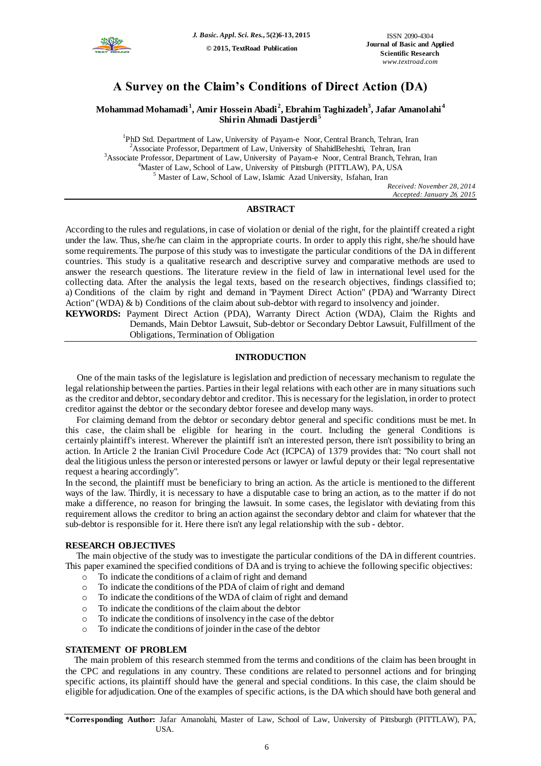

# **A Survey on the Claim's Conditions of Direct Action (DA)**

# **Mohammad Mohamadi <sup>1</sup> , Amir Hossein Abadi <sup>2</sup> , Ebrahim Taghizadeh<sup>3</sup> , Jafar Amanolahi <sup>4</sup> Shirin Ahmadi Dastjerdi <sup>5</sup>**

<sup>1</sup>PhD Std. Department of Law, University of Payam-e Noor, Central Branch, Tehran, Iran <sup>2</sup>Associate Professor, Department of Law, University of ShahidBeheshti, Tehran, Iran <sup>3</sup>Associate Professor, Department of Law, University of Payam-e Noor, Central Branch, Tehran, Iran <sup>4</sup>Master of Law, School of Law, University of Pittsburgh (PITTLAW), PA, USA <sup>5</sup> Master of Law, School of Law, Islamic Azad University, Isfahan, Iran

*Received: November 28, 2014 Accepted: January 26, 2015* 

# **ABSTRACT**

According to the rules and regulations, in case of violation or denial of the right, for the plaintiff created a right under the law. Thus, she/he can claim in the appropriate courts. In order to apply this right, she/he should have some requirements. The purpose of this study was to investigate the particular conditions of the DA in different countries. This study is a qualitative research and descriptive survey and comparative methods are used to answer the research questions. The literature review in the field of law in international level used for the collecting data. After the analysis the legal texts, based on the research objectives, findings classified to; a) Conditions of the claim by right and demand in "Payment Direct Action" (PDA) and "Warranty Direct Action" (WDA) & b) Conditions of the claim about sub-debtor with regard to insolvency and joinder.

**KEYWORDS:** Payment Direct Action (PDA), Warranty Direct Action (WDA), Claim the Rights and Demands, Main Debtor Lawsuit, Sub-debtor or Secondary Debtor Lawsuit, Fulfillment of the Obligations, Termination of Obligation

# **INTRODUCTION**

 One of the main tasks of the legislature is legislation and prediction of necessary mechanism to regulate the legal relationship between the parties. Parties in their legal relations with each other are in many situations such as the creditor and debtor, secondary debtor and creditor. This is necessary for the legislation, in order to protect creditor against the debtor or the secondary debtor foresee and develop many ways.

 For claiming demand from the debtor or secondary debtor general and specific conditions must be met. In this case, the claim shall be eligible for hearing in the court. Including the general Conditions is certainly plaintiff's interest. Wherever the plaintiff isn't an interested person, there isn't possibility to bring an action. In Article 2 the Iranian Civil Procedure Code Act (ICPCA) of 1379 provides that: "No court shall not deal the litigious unless the person or interested persons or lawyer or lawful deputy or their legal representative request a hearing accordingly".

In the second, the plaintiff must be beneficiary to bring an action. As the article is mentioned to the different ways of the law. Thirdly, it is necessary to have a disputable case to bring an action, as to the matter if do not make a difference, no reason for bringing the lawsuit. In some cases, the legislator with deviating from this requirement allows the creditor to bring an action against the secondary debtor and claim for whatever that the sub-debtor is responsible for it. Here there isn't any legal relationship with the sub - debtor.

# **RESEARCH OBJECTIVES**

 The main objective of the study was to investigate the particular conditions of the DA in different countries. This paper examined the specified conditions of DA and is trying to achieve the following specific objectives:

- o To indicate the conditions of a claim of right and demand
- o To indicate the conditions of the PDA of claim of right and demand
- o To indicate the conditions of the WDA of claim of right and demand
- o To indicate the conditions of the claim about the debtor
- o To indicate the conditions of insolvency in the case of the debtor
- o To indicate the conditions of joinder in the case of the debtor

## **STATEMENT OF PROBLEM**

 The main problem of this research stemmed from the terms and conditions of the claim has been brought in the CPC and regulations in any country. These conditions are related to personnel actions and for bringing specific actions, its plaintiff should have the general and special conditions. In this case, the claim should be eligible for adjudication. One of the examples of specific actions, is the DA which should have both general and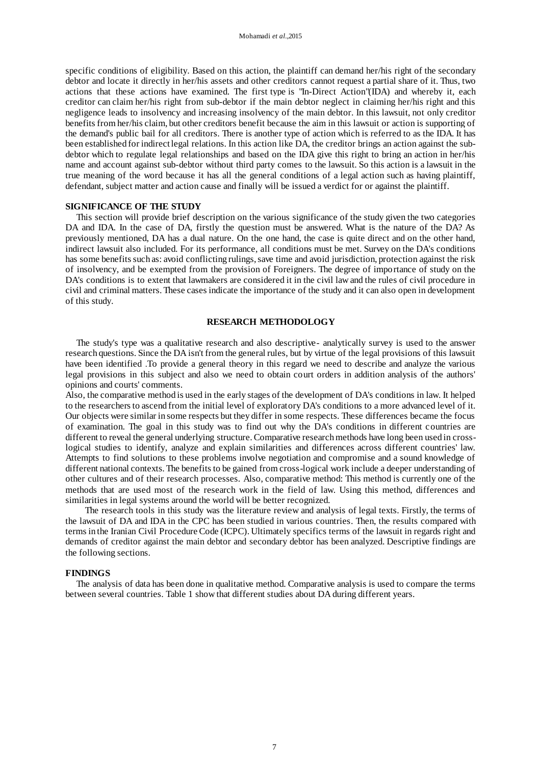specific conditions of eligibility. Based on this action, the plaintiff can demand her/his right of the secondary debtor and locate it directly in her/his assets and other creditors cannot request a partial share of it. Thus, two actions that these actions have examined. The first type is "In-Direct Action"(IDA) and whereby it, each creditor can claim her/his right from sub-debtor if the main debtor neglect in claiming her/his right and this negligence leads to insolvency and increasing insolvency of the main debtor. In this lawsuit, not only creditor benefits from her/his claim, but other creditors benefit because the aim in this lawsuit or action is supporting of the demand's public bail for all creditors. There is another type of action which is referred to as the IDA. It has been established for indirect legal relations. In this action like DA, the creditor brings an action against the subdebtor which to regulate legal relationships and based on the IDA give this right to bring an action in her/his name and account against sub-debtor without third party comes to the lawsuit. So this action is a lawsuit in the true meaning of the word because it has all the general conditions of a legal action such as having plaintiff, defendant, subject matter and action cause and finally will be issued a verdict for or against the plaintiff.

### **SIGNIFICANCE OF THE STUDY**

 This section will provide brief description on the various significance of the study given the two categories DA and IDA. In the case of DA, firstly the question must be answered. What is the nature of the DA? As previously mentioned, DA has a dual nature. On the one hand, the case is quite direct and on the other hand, indirect lawsuit also included. For its performance, all conditions must be met. Survey on the DA's conditions has some benefits such as: avoid conflicting rulings, save time and avoid jurisdiction, protection against the risk of insolvency, and be exempted from the provision of Foreigners. The degree of importance of study on the DA's conditions is to extent that lawmakers are considered it in the civil law and the rules of civil procedure in civil and criminal matters. These cases indicate the importance of the study and it can also open in development of this study.

## **RESEARCH METHODOLOGY**

 The study's type was a qualitative research and also descriptive- analytically survey is used to the answer research questions. Since the DA isn't from the general rules, but by virtue of the legal provisions of this lawsuit have been identified .To provide a general theory in this regard we need to describe and analyze the various legal provisions in this subject and also we need to obtain court orders in addition analysis of the authors' opinions and courts' comments.

Also, the comparative method is used in the early stages of the development of DA's conditions in law. It helped to the researchers to ascend from the initial level of exploratory DA's conditions to a more advanced level of it. Our objects were similar in some respects but they differ in some respects. These differences became the focus of examination. The goal in this study was to find out why the DA's conditions in different countries are different to reveal the general underlying structure. Comparative research methods have long been used in crosslogical studies to identify, analyze and explain similarities and differences across different countries' law. Attempts to find solutions to these problems involve negotiation and compromise and a sound knowledge of different national contexts. The benefits to be gained from cross-logical work include a deeper understanding of other cultures and of their research processes. Also, comparative method: This method is currently one of the methods that are used most of the research work in the field of law. Using this method, differences and similarities in legal systems around the world will be better recognized.

The research tools in this study was the literature review and analysis of legal texts. Firstly, the terms of the lawsuit of DA and IDA in the CPC has been studied in various countries. Then, the results compared with terms in the Iranian Civil Procedure Code (ICPC). Ultimately specifics terms of the lawsuit in regards right and demands of creditor against the main debtor and secondary debtor has been analyzed. Descriptive findings are the following sections.

#### **FINDINGS**

 The analysis of data has been done in qualitative method. Comparative analysis is used to compare the terms between several countries. Table 1 show that different studies about DA during different years.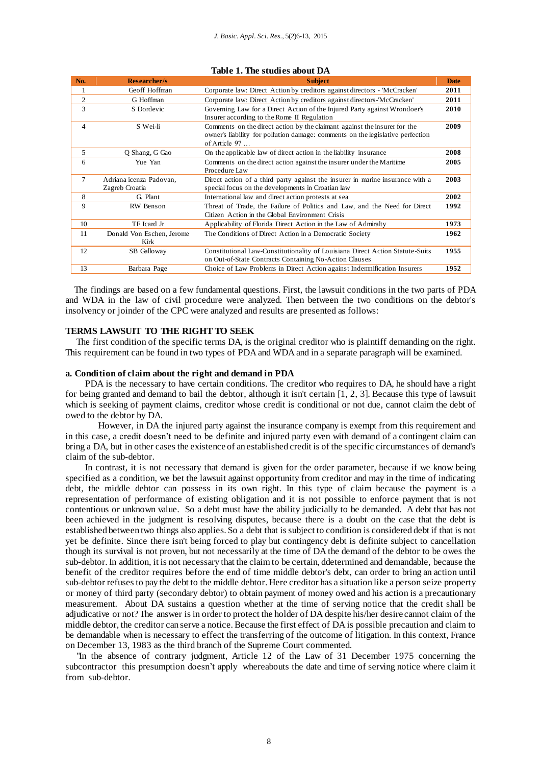| No. | <b>Researcher/s</b>                       | <b>Subject</b>                                                                                                                                                               | <b>Date</b> |
|-----|-------------------------------------------|------------------------------------------------------------------------------------------------------------------------------------------------------------------------------|-------------|
| 1   | Geoff Hoffman                             | Corporate law: Direct Action by creditors against directors - McCracken'                                                                                                     | 2011        |
| 2   | G Hoffman                                 | Corporate law: Direct Action by creditors against directors-'McCracken'                                                                                                      | 2011        |
| 3   | S Dordevic                                | Governing Law for a Direct Action of the Injured Party against Wrondoer's<br>Insurer according to the Rome II Regulation                                                     | 2010        |
| 4   | S Wei-li                                  | Comments on the direct action by the claimant against the insurer for the<br>owner's liability for pollution damage: comments on the legislative perfection<br>of Article 97 | 2009        |
| 5   | Q Shang, G Gao                            | On the applicable law of direct action in the liability insurance                                                                                                            | 2008        |
| 6   | Yue Yan                                   | Comments on the direct action against the insurer under the Maritime<br>Procedure Law                                                                                        | 2005        |
| 7   | Adriana icenza Padovan.<br>Zagreb Croatia | Direct action of a third party against the insurer in marine insurance with a<br>special focus on the developments in Croatian law                                           | 2003        |
| 8   | G. Plant                                  | International law and direct action protests at sea                                                                                                                          | 2002        |
| 9   | RW Benson                                 | Threat of Trade, the Failure of Politics and Law, and the Need for Direct<br>Citizen Action in the Global Environment Crisis                                                 | 1992        |
| 10  | TF Icard Jr                               | Applicability of Florida Direct Action in the Law of Admiralty                                                                                                               | 1973        |
| 11  | Donald Von Eschen, Jerome<br>Kirk         | The Conditions of Direct Action in a Democratic Society                                                                                                                      | 1962        |
| 12  | SB Galloway                               | Constitutional Law-Constitutionality of Louisiana Direct Action Statute-Suits<br>on Out-of-State Contracts Containing No-Action Clauses                                      | 1955        |
| 13  | Barbara Page                              | Choice of Law Problems in Direct Action against Indemnification Insurers                                                                                                     | 1952        |

#### **Table 1. The studies about DA**

 The findings are based on a few fundamental questions. First, the lawsuit conditions in the two parts of PDA and WDA in the law of civil procedure were analyzed. Then between the two conditions on the debtor's insolvency or joinder of the CPC were analyzed and results are presented as follows:

## **TERMS LAWSUIT TO THE RIGHT TO SEEK**

 The first condition of the specific terms DA, is the original creditor who is plaintiff demanding on the right. This requirement can be found in two types of PDA and WDA and in a separate paragraph will be examined.

# **a. Condition of claim about the right and demand in PDA**

PDA is the necessary to have certain conditions. The creditor who requires to DA, he should have a right for being granted and demand to bail the debtor, although it isn't certain [1, 2, 3]. Because this type of lawsuit which is seeking of payment claims, creditor whose credit is conditional or not due, cannot claim the debt of owed to the debtor by DA.

However, in DA the injured party against the insurance company is exempt from this requirement and in this case, a credit doesn't need to be definite and injured party even with demand of a contingent claim can bring a DA, but in other cases the existence of an established credit is of the specific circumstances of demand's claim of the sub-debtor.

In contrast, it is not necessary that demand is given for the order parameter, because if we know being specified as a condition, we bet the lawsuit against opportunity from creditor and may in the time of indicating debt, the middle debtor can possess in its own right. In this type of claim because the payment is a representation of performance of existing obligation and it is not possible to enforce payment that is not contentious or unknown value. So a debt must have the ability judicially to be demanded. A debt that has not been achieved in the judgment is resolving disputes, because there is a doubt on the case that the debt is established between two things also applies. So a debt that is subject to condition is considered debt if that is not yet be definite. Since there isn't being forced to play but contingency debt is definite subject to cancellation though its survival is not proven, but not necessarily at the time of DA the demand of the debtor to be owes the sub-debtor. In addition, it is not necessary that the claim to be certain, ddetermined and demandable, because the benefit of the creditor requires before the end of time middle debtor's debt, can order to bring an action until sub-debtor refuses to pay the debt to the middle debtor. Here creditor has a situation like a person seize property or money of third party (secondary debtor) to obtain payment of money owed and his action is a precautionary measurement. About DA sustains a question whether at the time of serving notice that the credit shall be adjudicative or not?The answer is in order to protect the holder of DA despite his/her desire cannot claim of the middle debtor, the creditor can serve a notice. Because the first effect of DA is possible precaution and claim to be demandable when is necessary to effect the transferring of the outcome of litigation. In this context, France on December 13, 1983 as the third branch of the Supreme Court commented.

 "In the absence of contrary judgment, Article 12 of the Law of 31 December 1975 concerning the subcontractor this presumption doesn't apply whereabouts the date and time of serving notice where claim it from sub-debtor.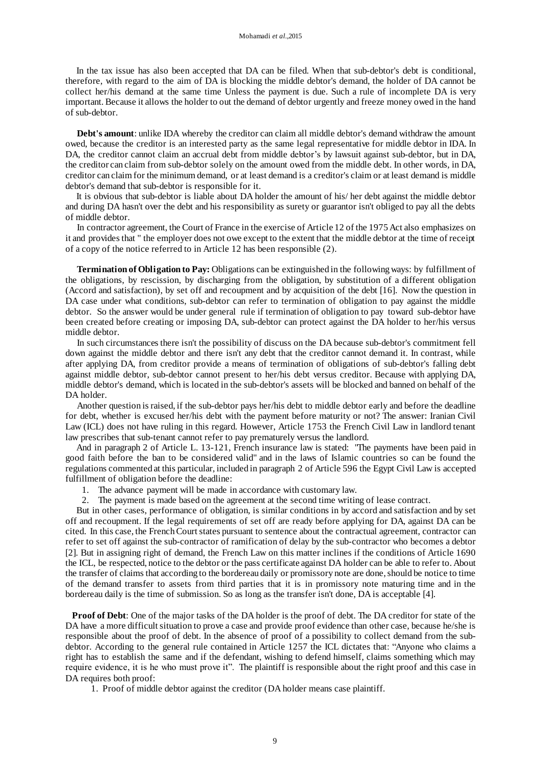In the tax issue has also been accepted that DA can be filed. When that sub-debtor's debt is conditional, therefore, with regard to the aim of DA is blocking the middle debtor's demand, the holder of DA cannot be collect her/his demand at the same time Unless the payment is due. Such a rule of incomplete DA is very important. Because it allows the holder to out the demand of debtor urgently and freeze money owed in the hand of sub-debtor.

 **Debt's amount**: unlike IDA whereby the creditor can claim all middle debtor's demand withdraw the amount owed, because the creditor is an interested party as the same legal representative for middle debtor in IDA. In DA, the creditor cannot claim an accrual debt from middle debtor's by lawsuit against sub-debtor, but in DA, the creditor can claim from sub-debtor solely on the amount owed from the middle debt. In other words, in DA, creditor can claim for the minimum demand, or at least demand is a creditor's claim or at least demand is middle debtor's demand that sub-debtor is responsible for it.

 It is obvious that sub-debtor is liable about DA holder the amount of his/ her debt against the middle debtor and during DA hasn't over the debt and his responsibility as surety or guarantor isn't obliged to pay all the debts of middle debtor.

 In contractor agreement, the Court of France in the exercise of Article 12 of the 1975 Act also emphasizes on it and provides that " the employer does not owe except to the extent that the middle debtor at the time of receipt of a copy of the notice referred to in Article  $12$  has been responsible  $(2)$ .

 **Termination of Obligation to Pay:** Obligations can be extinguished in the following ways: by fulfillment of the obligations, by rescission, by discharging from the obligation, by substitution of a different obligation (Accord and satisfaction), by set off and recoupment and by acquisition of the debt [16]. Now the question in DA case under what conditions, sub-debtor can refer to termination of obligation to pay against the middle debtor. So the answer would be under general rule if termination of obligation to pay toward sub-debtor have been created before creating or imposing DA, sub-debtor can protect against the DA holder to her/his versus middle debtor.

 In such circumstances there isn't the possibility of discuss on the DA because sub-debtor's commitment fell down against the middle debtor and there isn't any debt that the creditor cannot demand it. In contrast, while after applying DA, from creditor provide a means of termination of obligations of sub-debtor's falling debt against middle debtor, sub-debtor cannot present to her/his debt versus creditor. Because with applying DA, middle debtor's demand, which is located in the sub-debtor's assets will be blocked and banned on behalf of the DA holder.

 Another question is raised, if the sub-debtor pays her/his debt to middle debtor early and before the deadline for debt, whether is excused her/his debt with the payment before maturity or not? The answer: Iranian Civil Law (ICL) does not have ruling in this regard. However, Article 1753 the French Civil Law in landlord tenant law prescribes that sub-tenant cannot refer to pay prematurely versus the landlord.

 And in paragraph 2 of Article L. 13-121, French insurance law is stated: "The payments have been paid in good faith before the ban to be considered valid" and in the laws of Islamic countries so can be found the regulations commented at this particular, included in paragraph 2 of Article 596 the Egypt Civil Law is accepted fulfillment of obligation before the deadline:

- 1. The advance payment will be made in accordance with customary law.
- 2. The payment is made based on the agreement at the second time writing of lease contract.

 But in other cases, performance of obligation, is similar conditions in by accord and satisfaction and by set off and recoupment. If the legal requirements of set off are ready before applying for DA, against DA can be cited. In this case, the FrenchCourt states pursuant to sentence about the contractual agreement, contractor can refer to set off against the sub-contractor of ramification of delay by the sub-contractor who becomes a debtor [2]. But in assigning right of demand, the French Law on this matter inclines if the conditions of Article 1690 the ICL, be respected, notice to the debtor or the pass certificate against DA holder can be able to refer to. About the transfer of claims that according to the bordereau daily or promissory note are done, should be notice to time of the demand transfer to assets from third parties that it is in promissory note maturing time and in the bordereau daily is the time of submission. So as long as the transfer isn't done, DA is acceptable [4].

 **Proof of Debt**: One of the major tasks of the DA holder is the proof of debt. The DA creditor for state of the DA have a more difficult situation to prove a case and provide proof evidence than other case, because he/she is responsible about the proof of debt. In the absence of proof of a possibility to collect demand from the subdebtor. According to the general rule contained in Article 1257 the ICL dictates that: "Anyone who claims a right has to establish the same and if the defendant, wishing to defend himself, claims something which may require evidence, it is he who must prove it". The plaintiff is responsible about the right proof and this case in DA requires both proof:

1. Proof of middle debtor against the creditor (DA holder means case plaintiff.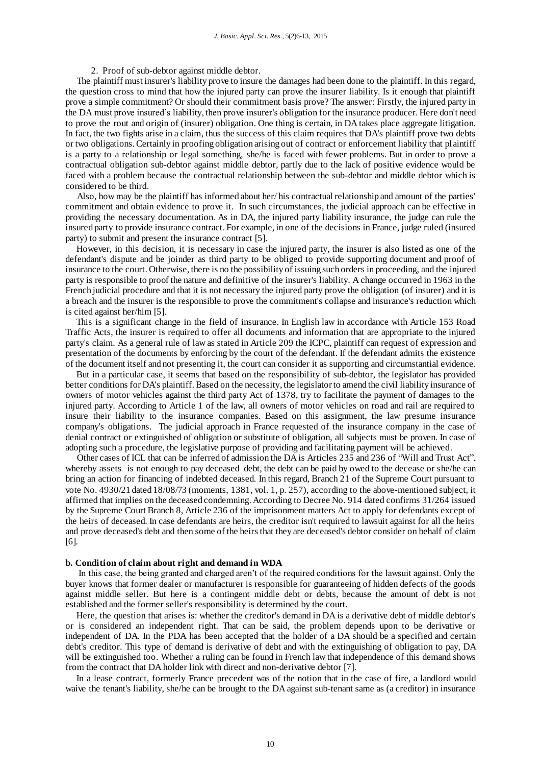2. Proof of sub-debtor against middle debtor.

 The plaintiff must insurer's liability prove to insure the damages had been done to the plaintiff. In this regard, the question cross to mind that how the injured party can prove the insurer liability. Is it enough that plaintiff prove a simple commitment? Or should their commitment basis prove? The answer: Firstly, the injured party in the DA must prove insured's liability, then prove insurer's obligation for the insurance producer. Here don't need to prove the rout and origin of (insurer) obligation. One thing is certain, in DA takes place aggregate litigation. In fact, the two fights arise in a claim, thus the success of this claim requires that DA's plaintiff prove two debts or two obligations. Certainly in proofing obligation arising out of contract or enforcement liability that pl aintiff is a party to a relationship or legal something, she/he is faced with fewer problems. But in order to prove a contractual obligation sub-debtor against middle debtor, partly due to the lack of positive evidence would be faced with a problem because the contractual relationship between the sub-debtor and middle debtor which is considered to be third.

 Also, how may be the plaintiff has informed about her/ his contractual relationship and amount of the parties' commitment and obtain evidence to prove it. In such circumstances, the judicial approach can be effective in providing the necessary documentation. As in DA, the injured party liability insurance, the judge can rule the insured party to provide insurance contract. For example, in one of the decisions in France, judge ruled (insured party) to submit and present the insurance contract [5].

 However, in this decision, it is necessary in case the injured party, the insurer is also listed as one of the defendant's dispute and be joinder as third party to be obliged to provide supporting document and proof of insurance to the court. Otherwise, there is no the possibility of issuing such orders in proceeding, and the injured party is responsible to proof the nature and definitive of the insurer's liability. A change occurred in 1963 in the French judicial procedure and that it is not necessary the injured party prove the obligation (of insurer) and it is a breach and the insurer is the responsible to prove the commitment's collapse and insurance's reduction which is cited against her/him [5].

 This is a significant change in the field of insurance. In English law in accordance with Article 153 Road Traffic Acts, the insurer is required to offer all documents and information that are appropriate to the injured party's claim. As a general rule of law as stated in Article 209 the ICPC, plaintiff can request of expression and presentation of the documents by enforcing by the court of the defendant. If the defendant admits the existence of the document itself and not presenting it, the court can consider it as supporting and circumstantial evidence.

 But in a particular case, it seems that based on the responsibility of sub-debtor, the legislator has provided better conditions for DA's plaintiff. Based on the necessity, the legislator to amend the civil liability insurance of owners of motor vehicles against the third party Act of 1378, try to facilitate the payment of damages to the injured party. According to Article 1 of the law, all owners of motor vehicles on road and rail are required to insure their liability to the insurance companies. Based on this assignment, the law presume insurance company's obligations. The judicial approach in France requested of the insurance company in the case of denial contract or extinguished of obligation or substitute of obligation, all subjects must be proven. In case of adopting such a procedure, the legislative purpose of providing and facilitating payment will be achieved.

 Other cases of ICL that can be inferred of admission the DA is Articles 235 and 236 of "Will and Trust Act", whereby assets is not enough to pay deceased debt, the debt can be paid by owed to the decease or she/he can bring an action for financing of indebted deceased. In this regard, Branch 21 of the Supreme Court pursuant to vote No. 4930/21 dated 18/08/73 (moments, 1381, vol. 1, p. 257), according to the above-mentioned subject, it affirmed that implies on the deceased condemning. According to Decree No. 914 dated confirms 31/264 issued by the Supreme Court Branch 8, Article 236 of the imprisonment matters Act to apply for defendants except of the heirs of deceased. In case defendants are heirs, the creditor isn't required to lawsuit against for all the heirs and prove deceased's debt and then some of the heirs that they are deceased's debtor consider on behalf of claim [6].

#### **b. Condition of claim about right and demand in WDA**

 In this case, the being granted and charged aren't of the required conditions for the lawsuit against. Only the buyer knows that former dealer or manufacturer is responsible for guaranteeing of hidden defects of the goods against middle seller. But here is a contingent middle debt or debts, because the amount of debt is not established and the former seller's responsibility is determined by the court.

 Here, the question that arises is: whether the creditor's demand in DA is a derivative debt of middle debtor's or is considered an independent right. That can be said, the problem depends upon to be derivative or independent of DA. In the PDA has been accepted that the holder of a DA should be a specified and certain debt's creditor. This type of demand is derivative of debt and with the extinguishing of obligation to pay, DA will be extinguished too. Whether a ruling can be found in French law that independence of this demand shows from the contract that DA holder link with direct and non-derivative debtor [7].

 In a lease contract, formerly France precedent was of the notion that in the case of fire, a landlord would waive the tenant's liability, she/he can be brought to the DA against sub-tenant same as (a creditor) in insurance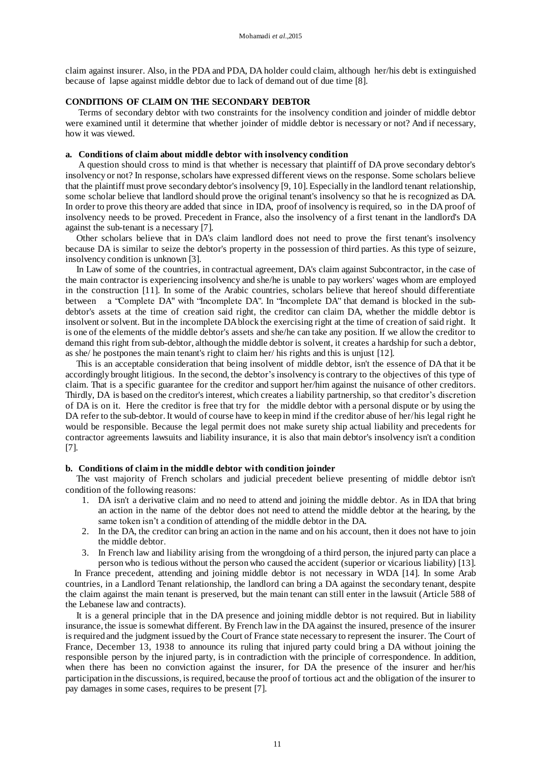claim against insurer. Also, in the PDA and PDA, DA holder could claim, although her/his debt is extinguished because of lapse against middle debtor due to lack of demand out of due time [8].

#### **CONDITIONS OF CLAIM ON THE SECONDARY DEBTOR**

 Terms of secondary debtor with two constraints for the insolvency condition and joinder of middle debtor were examined until it determine that whether joinder of middle debtor is necessary or not? And if necessary, how it was viewed.

#### **a. Conditions of claim about middle debtor with insolvency condition**

 A question should cross to mind is that whether is necessary that plaintiff of DA prove secondary debtor's insolvency or not? In response, scholars have expressed different views on the response. Some scholars believe that the plaintiff must prove secondary debtor's insolvency [9, 10]. Especially in the landlord tenant relationship, some scholar believe that landlord should prove the original tenant's insolvency so that he is recognized as DA. In order to prove this theory are added that since in IDA, proof of insolvency is required, so in the DA proof of insolvency needs to be proved. Precedent in France, also the insolvency of a first tenant in the landlord's DA against the sub-tenant is a necessary [7].

 Other scholars believe that in DA's claim landlord does not need to prove the first tenant's insolvency because DA is similar to seize the debtor's property in the possession of third parties. As this type of seizure, insolvency condition is unknown [3].

 In Law of some of the countries, in contractual agreement, DA's claim against Subcontractor, in the case of the main contractor is experiencing insolvency and she/he is unable to pay workers' wages whom are employed in the construction [11]. In some of the Arabic countries, scholars believe that hereof should differentiate between a "Complete DA" with "Incomplete DA". In "Incomplete DA" that demand is blocked in the subdebtor's assets at the time of creation said right, the creditor can claim DA, whether the middle debtor is insolvent or solvent. But in the incomplete DAblock the exercising right at the time of creation of said right. It is one of the elements of the middle debtor's assets and she/he can take any position. If we allow the creditor to demand this right from sub-debtor, although the middle debtor is solvent, it creates a hardship for such a debtor, as she/ he postpones the main tenant's right to claim her/ his rights and this is unjust [12].

 This is an acceptable consideration that being insolvent of middle debtor, isn't the essence of DA that it be accordingly brought litigious. In the second, the debtor's insolvency is contrary to the objectives of this type of claim. That is a specific guarantee for the creditor and support her/him against the nuisance of other creditors. Thirdly, DA is based on the creditor's interest, which creates a liability partnership, so that creditor's discretion of DA is on it. Here the creditor is free that try for the middle debtor with a personal dispute or by using the DA refer to the sub-debtor. It would of course have to keep in mind if the creditor abuse of her/his legal right he would be responsible. Because the legal permit does not make surety ship actual liability and precedents for contractor agreements lawsuits and liability insurance, it is also that main debtor's insolvency isn't a condition [7].

## **b. Conditions of claim in the middle debtor with condition joinder**

 The vast majority of French scholars and judicial precedent believe presenting of middle debtor isn't condition of the following reasons:

- 1. DA isn't a derivative claim and no need to attend and joining the middle debtor. As in IDA that bring an action in the name of the debtor does not need to attend the middle debtor at the hearing, by the same token isn't a condition of attending of the middle debtor in the DA.
- 2. In the DA, the creditor can bring an action in the name and on his account, then it does not have to join the middle debtor.
- 3. In French law and liability arising from the wrongdoing of a third person, the injured party can place a person who is tedious without the person who caused the accident (superior or vicarious liability) [13].

 In France precedent, attending and joining middle debtor is not necessary in WDA [14]. In some Arab countries, in a Landlord Tenant relationship, the landlord can bring a DA against the secondary tenant, despite the claim against the main tenant is preserved, but the main tenant can still enter in the lawsuit (Article 588 of the Lebanese law and contracts).

 It is a general principle that in the DA presence and joining middle debtor is not required. But in liability insurance, the issue is somewhat different. By French law in the DA against the insured, presence of the insurer is required and the judgment issued by the Court of France state necessary to represent the insurer. The Court of France, December 13, 1938 to announce its ruling that injured party could bring a DA without joining the responsible person by the injured party, is in contradiction with the principle of correspondence. In addition, when there has been no conviction against the insurer, for DA the presence of the insurer and her/his participation in the discussions, is required, because the proof of tortious act and the obligation of the insurer to pay damages in some cases, requires to be present [7].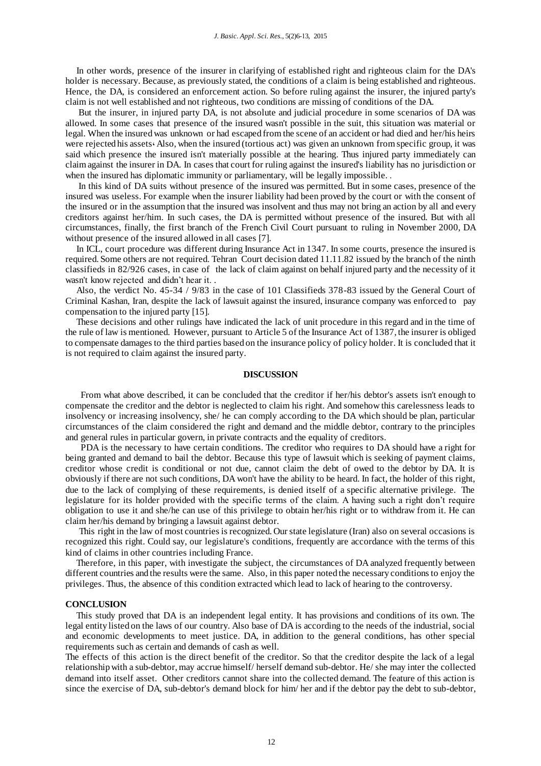In other words, presence of the insurer in clarifying of established right and righteous claim for the DA's holder is necessary. Because, as previously stated, the conditions of a claim is being established and righteous. Hence, the DA, is considered an enforcement action. So before ruling against the insurer, the injured party's claim is not well established and not righteous, two conditions are missing of conditions of the DA.

 But the insurer, in injured party DA, is not absolute and judicial procedure in some scenarios of DA was allowed. In some cases that presence of the insured wasn't possible in the suit, this situation was material or legal. When the insured was unknown or had escaped from the scene of an accident or had died and her/his heirs were rejected his assets. Also, when the insured (tortious act) was given an unknown from specific group, it was said which presence the insured isn't materially possible at the hearing. Thus injured party immediately can claim against the insurer in DA. In cases that court for ruling against the insured's liability has no jurisdiction or when the insured has diplomatic immunity or parliamentary, will be legally impossible.

 In this kind of DA suits without presence of the insured was permitted. But in some cases, presence of the insured was useless. For example when the insurer liability had been proved by the court or with the consent of the insured or in the assumption that the insured was insolvent and thus may not bring an action by all and every creditors against her/him. In such cases, the DA is permitted without presence of the insured. But with all circumstances, finally, the first branch of the French Civil Court pursuant to ruling in November 2000, DA without presence of the insured allowed in all cases [7].

 In ICL, court procedure was different during Insurance Act in 1347. In some courts, presence the insured is required. Some others are not required. Tehran Court decision dated 11.11.82 issued by the branch of the ninth classifieds in 82/926 cases, in case of the lack of claim against on behalf injured party and the necessity of it wasn't know rejected and didn't hear it. .

 Also, the verdict No. 45-34 / 9/83 in the case of 101 Classifieds 378-83 issued by the General Court of Criminal Kashan, Iran, despite the lack of lawsuit against the insured, insurance company was enforced to pay compensation to the injured party [15].

 These decisions and other rulings have indicated the lack of unit procedure in this regard and in the time of the rule of law is mentioned. However, pursuant to Article 5 of the Insurance Act of 1387, the insurer is obliged to compensate damages to the third parties based on the insurance policy of policy holder. It is concluded that it is not required to claim against the insured party.

### **DISCUSSION**

 From what above described, it can be concluded that the creditor if her/his debtor's assets isn't enough to compensate the creditor and the debtor is neglected to claim his right. And somehow this carelessness leads to insolvency or increasing insolvency, she/ he can comply according to the DA which should be plan, particular circumstances of the claim considered the right and demand and the middle debtor, contrary to the principles and general rules in particular govern, in private contracts and the equality of creditors.

 PDA is the necessary to have certain conditions. The creditor who requires to DA should have a right for being granted and demand to bail the debtor. Because this type of lawsuit which is seeking of payment claims, creditor whose credit is conditional or not due, cannot claim the debt of owed to the debtor by DA. It is obviously if there are not such conditions, DA won't have the ability to be heard. In fact, the holder of this right, due to the lack of complying of these requirements, is denied itself of a specific alternative privilege. The legislature for its holder provided with the specific terms of the claim. A having such a right don't require obligation to use it and she/he can use of this privilege to obtain her/his right or to withdraw from it. He can claim her/his demand by bringing a lawsuit against debtor.

 This right in the law of most countries is recognized. Our state legislature (Iran) also on several occasions is recognized this right. Could say, our legislature's conditions, frequently are accordance with the terms of this kind of claims in other countries including France.

 Therefore, in this paper, with investigate the subject, the circumstances of DA analyzed frequently between different countries and the results were the same. Also, in this paper noted the necessary conditions to enjoy the privileges. Thus, the absence of this condition extracted which lead to lack of hearing to the controversy.

#### **CONCLUSION**

 This study proved that DA is an independent legal entity. It has provisions and conditions of its own. The legal entity listed on the laws of our country. Also base of DA is according to the needs of the industrial, social and economic developments to meet justice. DA, in addition to the general conditions, has other special requirements such as certain and demands of cash as well.

The effects of this action is the direct benefit of the creditor. So that the creditor despite the lack of a legal relationship with a sub-debtor, may accrue himself/ herself demand sub-debtor. He/ she may inter the collected demand into itself asset. Other creditors cannot share into the collected demand. The feature of this action is since the exercise of DA, sub-debtor's demand block for him/ her and if the debtor pay the debt to sub-debtor,